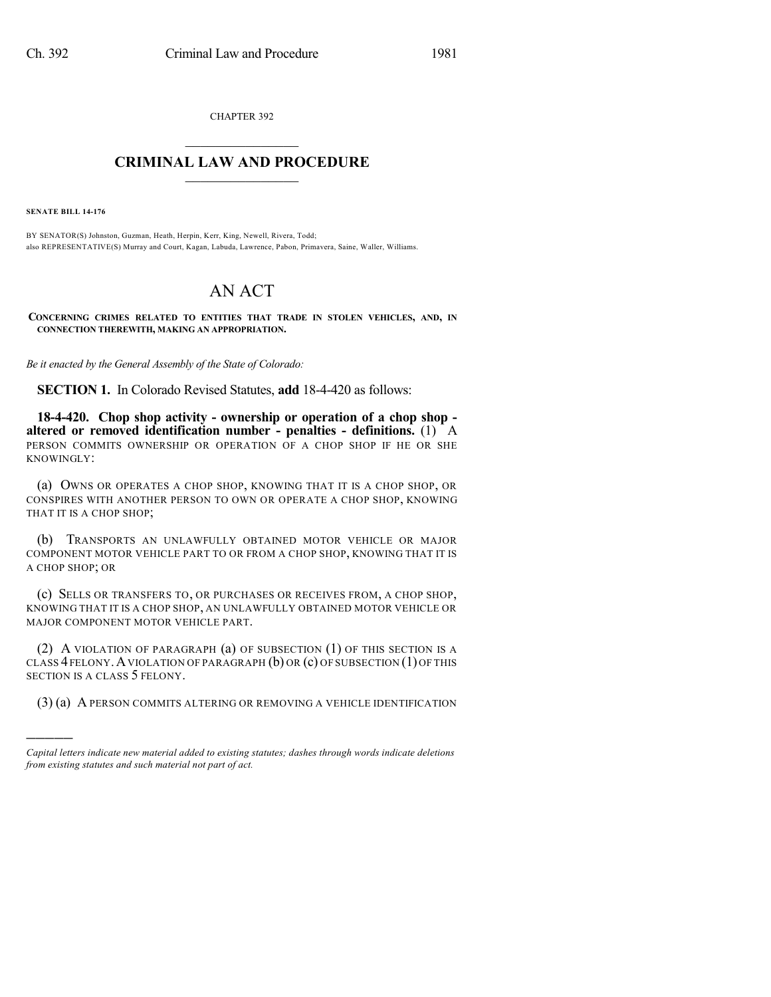CHAPTER 392  $\overline{\phantom{a}}$  . The set of the set of the set of the set of the set of the set of the set of the set of the set of the set of the set of the set of the set of the set of the set of the set of the set of the set of the set o

## **CRIMINAL LAW AND PROCEDURE**  $\frac{1}{2}$  ,  $\frac{1}{2}$  ,  $\frac{1}{2}$  ,  $\frac{1}{2}$  ,  $\frac{1}{2}$  ,  $\frac{1}{2}$  ,  $\frac{1}{2}$

**SENATE BILL 14-176**

)))))

BY SENATOR(S) Johnston, Guzman, Heath, Herpin, Kerr, King, Newell, Rivera, Todd; also REPRESENTATIVE(S) Murray and Court, Kagan, Labuda, Lawrence, Pabon, Primavera, Saine, Waller, Williams.

## AN ACT

**CONCERNING CRIMES RELATED TO ENTITIES THAT TRADE IN STOLEN VEHICLES, AND, IN CONNECTION THEREWITH, MAKING AN APPROPRIATION.**

*Be it enacted by the General Assembly of the State of Colorado:*

**SECTION 1.** In Colorado Revised Statutes, **add** 18-4-420 as follows:

**18-4-420. Chop shop activity - ownership or operation of a chop shop altered or removed identification number - penalties - definitions.** (1) A PERSON COMMITS OWNERSHIP OR OPERATION OF A CHOP SHOP IF HE OR SHE KNOWINGLY:

(a) OWNS OR OPERATES A CHOP SHOP, KNOWING THAT IT IS A CHOP SHOP, OR CONSPIRES WITH ANOTHER PERSON TO OWN OR OPERATE A CHOP SHOP, KNOWING THAT IT IS A CHOP SHOP;

(b) TRANSPORTS AN UNLAWFULLY OBTAINED MOTOR VEHICLE OR MAJOR COMPONENT MOTOR VEHICLE PART TO OR FROM A CHOP SHOP, KNOWING THAT IT IS A CHOP SHOP; OR

(c) SELLS OR TRANSFERS TO, OR PURCHASES OR RECEIVES FROM, A CHOP SHOP, KNOWING THAT IT IS A CHOP SHOP, AN UNLAWFULLY OBTAINED MOTOR VEHICLE OR MAJOR COMPONENT MOTOR VEHICLE PART.

(2) A VIOLATION OF PARAGRAPH (a) OF SUBSECTION (1) OF THIS SECTION IS A CLASS  $4$  FELONY. A VIOLATION OF PARAGRAPH  $(b)$  OR  $(c)$  OF SUBSECTION  $(1)$  OF THIS SECTION IS A CLASS 5 FELONY.

(3) (a) A PERSON COMMITS ALTERING OR REMOVING A VEHICLE IDENTIFICATION

*Capital letters indicate new material added to existing statutes; dashes through words indicate deletions from existing statutes and such material not part of act.*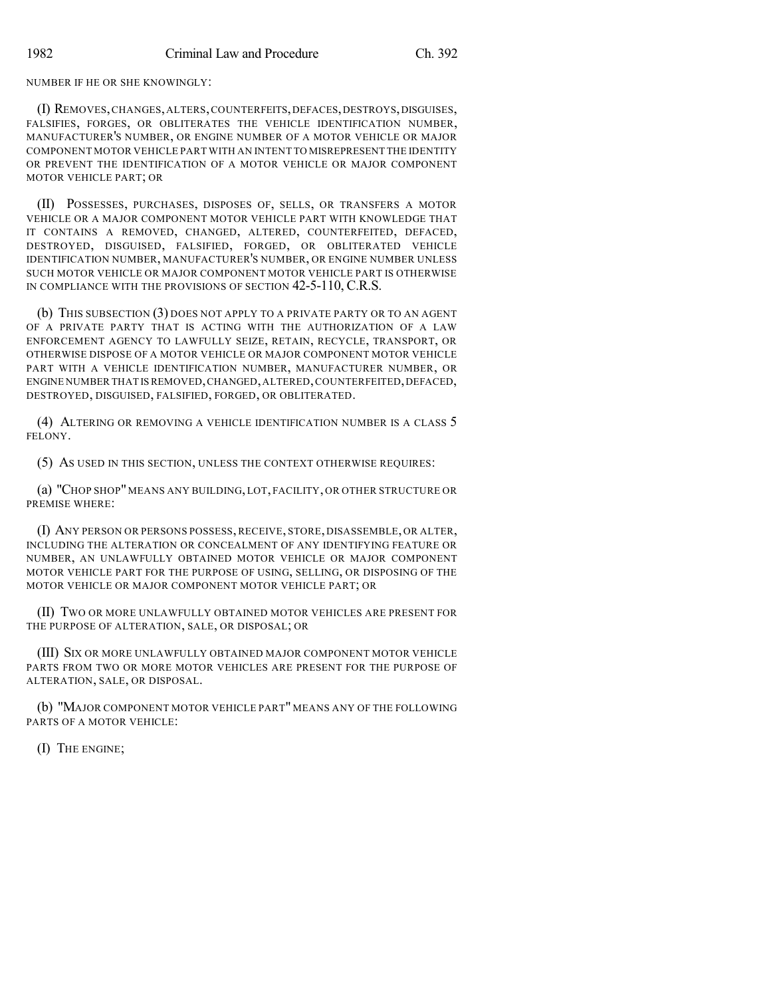NUMBER IF HE OR SHE KNOWINGLY:

(I) REMOVES,CHANGES,ALTERS,COUNTERFEITS,DEFACES,DESTROYS,DISGUISES, FALSIFIES, FORGES, OR OBLITERATES THE VEHICLE IDENTIFICATION NUMBER, MANUFACTURER'S NUMBER, OR ENGINE NUMBER OF A MOTOR VEHICLE OR MAJOR COMPONENT MOTOR VEHICLE PART WITH AN INTENT TO MISREPRESENT THE IDENTITY OR PREVENT THE IDENTIFICATION OF A MOTOR VEHICLE OR MAJOR COMPONENT MOTOR VEHICLE PART; OR

(II) POSSESSES, PURCHASES, DISPOSES OF, SELLS, OR TRANSFERS A MOTOR VEHICLE OR A MAJOR COMPONENT MOTOR VEHICLE PART WITH KNOWLEDGE THAT IT CONTAINS A REMOVED, CHANGED, ALTERED, COUNTERFEITED, DEFACED, DESTROYED, DISGUISED, FALSIFIED, FORGED, OR OBLITERATED VEHICLE IDENTIFICATION NUMBER, MANUFACTURER'S NUMBER, OR ENGINE NUMBER UNLESS SUCH MOTOR VEHICLE OR MAJOR COMPONENT MOTOR VEHICLE PART IS OTHERWISE IN COMPLIANCE WITH THE PROVISIONS OF SECTION 42-5-110, C.R.S.

(b) THIS SUBSECTION (3) DOES NOT APPLY TO A PRIVATE PARTY OR TO AN AGENT OF A PRIVATE PARTY THAT IS ACTING WITH THE AUTHORIZATION OF A LAW ENFORCEMENT AGENCY TO LAWFULLY SEIZE, RETAIN, RECYCLE, TRANSPORT, OR OTHERWISE DISPOSE OF A MOTOR VEHICLE OR MAJOR COMPONENT MOTOR VEHICLE PART WITH A VEHICLE IDENTIFICATION NUMBER, MANUFACTURER NUMBER, OR ENGINE NUMBER THAT ISREMOVED,CHANGED,ALTERED,COUNTERFEITED,DEFACED, DESTROYED, DISGUISED, FALSIFIED, FORGED, OR OBLITERATED.

(4) ALTERING OR REMOVING A VEHICLE IDENTIFICATION NUMBER IS A CLASS 5 FELONY.

(5) AS USED IN THIS SECTION, UNLESS THE CONTEXT OTHERWISE REQUIRES:

(a) "CHOP SHOP"MEANS ANY BUILDING, LOT, FACILITY, OR OTHER STRUCTURE OR PREMISE WHERE:

(I) ANY PERSON OR PERSONS POSSESS, RECEIVE, STORE, DISASSEMBLE, OR ALTER, INCLUDING THE ALTERATION OR CONCEALMENT OF ANY IDENTIFYING FEATURE OR NUMBER, AN UNLAWFULLY OBTAINED MOTOR VEHICLE OR MAJOR COMPONENT MOTOR VEHICLE PART FOR THE PURPOSE OF USING, SELLING, OR DISPOSING OF THE MOTOR VEHICLE OR MAJOR COMPONENT MOTOR VEHICLE PART; OR

(II) TWO OR MORE UNLAWFULLY OBTAINED MOTOR VEHICLES ARE PRESENT FOR THE PURPOSE OF ALTERATION, SALE, OR DISPOSAL; OR

(III) SIX OR MORE UNLAWFULLY OBTAINED MAJOR COMPONENT MOTOR VEHICLE PARTS FROM TWO OR MORE MOTOR VEHICLES ARE PRESENT FOR THE PURPOSE OF ALTERATION, SALE, OR DISPOSAL.

(b) "MAJOR COMPONENT MOTOR VEHICLE PART" MEANS ANY OF THE FOLLOWING PARTS OF A MOTOR VEHICLE:

(I) THE ENGINE;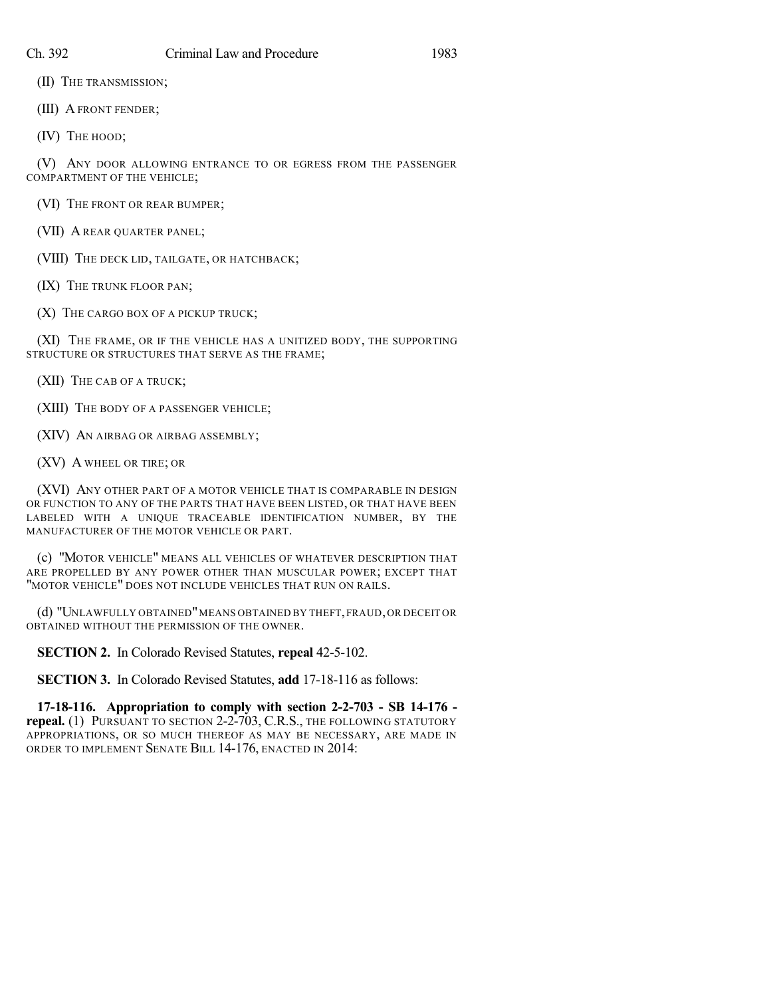(II) THE TRANSMISSION;

(III) A FRONT FENDER;

(IV) THE HOOD;

(V) ANY DOOR ALLOWING ENTRANCE TO OR EGRESS FROM THE PASSENGER COMPARTMENT OF THE VEHICLE;

(VI) THE FRONT OR REAR BUMPER;

(VII) A REAR QUARTER PANEL;

(VIII) THE DECK LID, TAILGATE, OR HATCHBACK;

(IX) THE TRUNK FLOOR PAN;

(X) THE CARGO BOX OF A PICKUP TRUCK;

(XI) THE FRAME, OR IF THE VEHICLE HAS A UNITIZED BODY, THE SUPPORTING STRUCTURE OR STRUCTURES THAT SERVE AS THE FRAME;

(XII) THE CAB OF A TRUCK;

(XIII) THE BODY OF A PASSENGER VEHICLE;

(XIV) AN AIRBAG OR AIRBAG ASSEMBLY;

(XV) A WHEEL OR TIRE; OR

(XVI) ANY OTHER PART OF A MOTOR VEHICLE THAT IS COMPARABLE IN DESIGN OR FUNCTION TO ANY OF THE PARTS THAT HAVE BEEN LISTED, OR THAT HAVE BEEN LABELED WITH A UNIQUE TRACEABLE IDENTIFICATION NUMBER, BY THE MANUFACTURER OF THE MOTOR VEHICLE OR PART.

(c) "MOTOR VEHICLE" MEANS ALL VEHICLES OF WHATEVER DESCRIPTION THAT ARE PROPELLED BY ANY POWER OTHER THAN MUSCULAR POWER; EXCEPT THAT "MOTOR VEHICLE" DOES NOT INCLUDE VEHICLES THAT RUN ON RAILS.

(d) "UNLAWFULLY OBTAINED"MEANS OBTAINED BY THEFT,FRAUD, OR DECEIT OR OBTAINED WITHOUT THE PERMISSION OF THE OWNER.

**SECTION 2.** In Colorado Revised Statutes, **repeal** 42-5-102.

**SECTION 3.** In Colorado Revised Statutes, **add** 17-18-116 as follows:

**17-18-116. Appropriation to comply with section 2-2-703 - SB 14-176 repeal.** (1) PURSUANT TO SECTION 2-2-703, C.R.S., THE FOLLOWING STATUTORY APPROPRIATIONS, OR SO MUCH THEREOF AS MAY BE NECESSARY, ARE MADE IN ORDER TO IMPLEMENT SENATE BILL 14-176, ENACTED IN 2014: